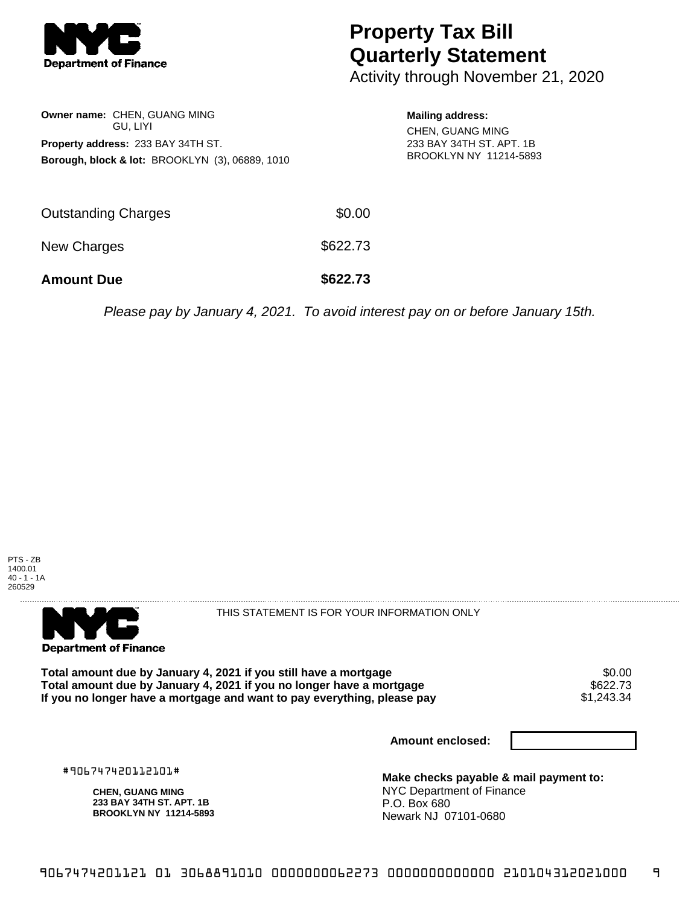

## **Property Tax Bill Quarterly Statement**

Activity through November 21, 2020

| Owner name: CHEN, GUANG MING<br>GU. LIYI<br><b>Property address: 233 BAY 34TH ST.</b><br>Borough, block & lot: BROOKLYN (3), 06889, 1010 |          | <b>Mailing address:</b><br><b>CHEN, GUANG MING</b><br>233 BAY 34TH ST, APT, 1B<br>BROOKLYN NY 11214-5893 |
|------------------------------------------------------------------------------------------------------------------------------------------|----------|----------------------------------------------------------------------------------------------------------|
| Outstanding Charges                                                                                                                      | \$0.00   |                                                                                                          |
| <b>New Charges</b>                                                                                                                       | \$622.73 |                                                                                                          |
| <b>Amount Due</b>                                                                                                                        | \$622.73 |                                                                                                          |

Please pay by January 4, 2021. To avoid interest pay on or before January 15th.





THIS STATEMENT IS FOR YOUR INFORMATION ONLY

Total amount due by January 4, 2021 if you still have a mortgage  $$0.00$ <br>Total amount due by January 4, 2021 if you no longer have a mortgage  $$622.73$ **Total amount due by January 4, 2021 if you no longer have a mortgage \$622.73<br>If you no longer have a mortgage and want to pay everything, please pay \$1,243.34** If you no longer have a mortgage and want to pay everything, please pay

**Amount enclosed:**

#906747420112101#

**CHEN, GUANG MING 233 BAY 34TH ST. APT. 1B BROOKLYN NY 11214-5893** **Make checks payable & mail payment to:** NYC Department of Finance P.O. Box 680 Newark NJ 07101-0680